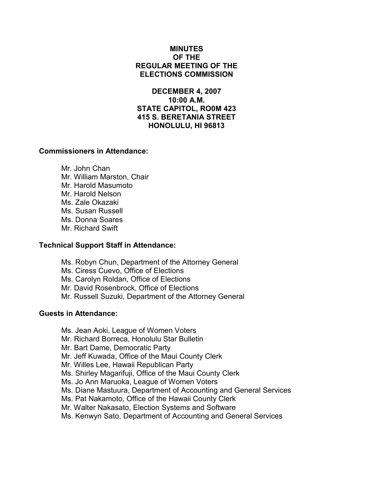## MINUTES OF THE REGULAR MEETING OF THE ELECTIONS COMMISSION

DECEMBER 4, 2007 10:00 A.M. STATE CAPITOL, RO0M 423 415 S. BERETANIA STREET HONOLULU, HI 96813

## Commissioners in Attendance:

 Mr. John Chan Mr. William Marston, Chair Mr. Harold Masumoto Mr. Harold Nelson Ms. Zale Okazaki Ms. Susan Russell Ms. Donna Soares Mr. Richard Swift

#### Technical Support Staff in Attendance:

- Ms. Robyn Chun, Department of the Attorney General
- Ms. Ciress Cuevo, Office of Elections
- Ms. Carolyn Roldan, Office of Elections
- Mr. David Rosenbrock, Office of Elections
- Mr. Russell Suzuki, Department of the Attorney General

#### Guests in Attendance:

- Ms. Jean Aoki, League of Women Voters
- Mr. Richard Borreca, Honolulu Star Bulletin
- Mr. Bart Dame, Democratic Party
- Mr. Jeff Kuwada, Office of the Maui County Clerk
- Mr. Willes Lee, Hawaii Republican Party
- Ms. Shirley Magarifuji, Office of the Maui County Clerk
- Ms. Jo Ann Maruoka, League of Women Voters
- Ms. Diane Mastuura, Department of Accounting and General Services
- Ms. Pat Nakamoto, Office of the Hawaii County Clerk
- Mr. Walter Nakasato, Election Systems and Software
- Ms. Kenwyn Sato, Department of Accounting and General Services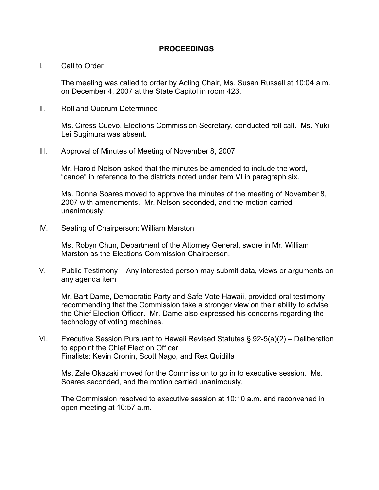## PROCEEDINGS

#### I. Call to Order

The meeting was called to order by Acting Chair, Ms. Susan Russell at 10:04 a.m. on December 4, 2007 at the State Capitol in room 423.

II. Roll and Quorum Determined

Ms. Ciress Cuevo, Elections Commission Secretary, conducted roll call. Ms. Yuki Lei Sugimura was absent.

III. Approval of Minutes of Meeting of November 8, 2007

Mr. Harold Nelson asked that the minutes be amended to include the word, "canoe" in reference to the districts noted under item VI in paragraph six.

Ms. Donna Soares moved to approve the minutes of the meeting of November 8, 2007 with amendments. Mr. Nelson seconded, and the motion carried unanimously.

IV. Seating of Chairperson: William Marston

 Ms. Robyn Chun, Department of the Attorney General, swore in Mr. William Marston as the Elections Commission Chairperson.

V. Public Testimony – Any interested person may submit data, views or arguments on any agenda item

Mr. Bart Dame, Democratic Party and Safe Vote Hawaii, provided oral testimony recommending that the Commission take a stronger view on their ability to advise the Chief Election Officer. Mr. Dame also expressed his concerns regarding the technology of voting machines.

VI. Executive Session Pursuant to Hawaii Revised Statutes § 92-5(a)(2) – Deliberation to appoint the Chief Election Officer Finalists: Kevin Cronin, Scott Nago, and Rex Quidilla

Ms. Zale Okazaki moved for the Commission to go in to executive session. Ms. Soares seconded, and the motion carried unanimously.

The Commission resolved to executive session at 10:10 a.m. and reconvened in open meeting at 10:57 a.m.